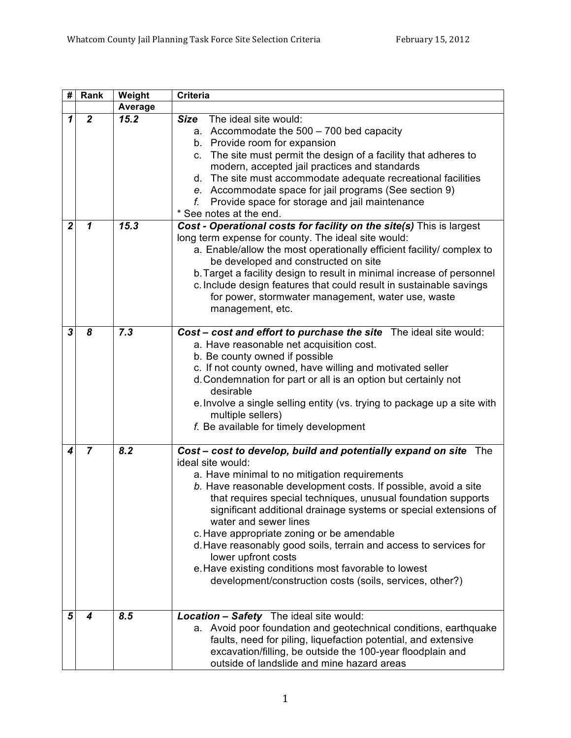| #              | Rank           | Weight         | <b>Criteria</b>                                                                                                                                                                                                                                                                                                                                                                                                                                                                                                                                                                                                                       |
|----------------|----------------|----------------|---------------------------------------------------------------------------------------------------------------------------------------------------------------------------------------------------------------------------------------------------------------------------------------------------------------------------------------------------------------------------------------------------------------------------------------------------------------------------------------------------------------------------------------------------------------------------------------------------------------------------------------|
|                |                | <b>Average</b> |                                                                                                                                                                                                                                                                                                                                                                                                                                                                                                                                                                                                                                       |
| 1              | $\mathbf{2}$   | 15.2           | The ideal site would:<br><b>Size</b><br>a. Accommodate the $500 - 700$ bed capacity<br>b. Provide room for expansion<br>c. The site must permit the design of a facility that adheres to<br>modern, accepted jail practices and standards<br>d. The site must accommodate adequate recreational facilities<br>e. Accommodate space for jail programs (See section 9)<br>Provide space for storage and jail maintenance<br>f.<br>* See notes at the end.                                                                                                                                                                               |
| $\overline{2}$ | $\mathbf{1}$   | 15.3           | Cost - Operational costs for facility on the site(s) This is largest<br>long term expense for county. The ideal site would:<br>a. Enable/allow the most operationally efficient facility/ complex to<br>be developed and constructed on site<br>b. Target a facility design to result in minimal increase of personnel<br>c. Include design features that could result in sustainable savings<br>for power, stormwater management, water use, waste<br>management, etc.                                                                                                                                                               |
| 3              | 8              | 7.3            | Cost - cost and effort to purchase the site The ideal site would:<br>a. Have reasonable net acquisition cost.<br>b. Be county owned if possible<br>c. If not county owned, have willing and motivated seller<br>d. Condemnation for part or all is an option but certainly not<br>desirable<br>e. Involve a single selling entity (vs. trying to package up a site with<br>multiple sellers)<br>f. Be available for timely development                                                                                                                                                                                                |
| 4              | $\overline{7}$ | 8.2            | Cost - cost to develop, build and potentially expand on site The<br>ideal site would:<br>a. Have minimal to no mitigation requirements<br>b. Have reasonable development costs. If possible, avoid a site<br>that requires special techniques, unusual foundation supports<br>significant additional drainage systems or special extensions of<br>water and sewer lines<br>c. Have appropriate zoning or be amendable<br>d. Have reasonably good soils, terrain and access to services for<br>lower upfront costs<br>e. Have existing conditions most favorable to lowest<br>development/construction costs (soils, services, other?) |
| 5              | 4              | 8.5            | <b>Location - Safety</b> The ideal site would:<br>a. Avoid poor foundation and geotechnical conditions, earthquake<br>faults, need for piling, liquefaction potential, and extensive<br>excavation/filling, be outside the 100-year floodplain and<br>outside of landslide and mine hazard areas                                                                                                                                                                                                                                                                                                                                      |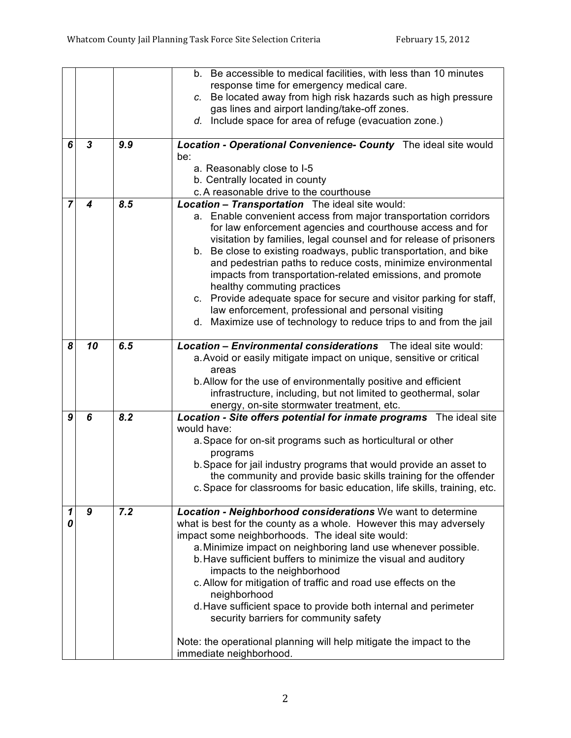|   |                  |     | b. Be accessible to medical facilities, with less than 10 minutes                                                         |
|---|------------------|-----|---------------------------------------------------------------------------------------------------------------------------|
|   |                  |     | response time for emergency medical care.                                                                                 |
|   |                  |     | c. Be located away from high risk hazards such as high pressure                                                           |
|   |                  |     | gas lines and airport landing/take-off zones.                                                                             |
|   |                  |     | d. Include space for area of refuge (evacuation zone.)                                                                    |
| 6 | $\boldsymbol{3}$ | 9.9 | Location - Operational Convenience- County The ideal site would                                                           |
|   |                  |     | be:                                                                                                                       |
|   |                  |     | a. Reasonably close to I-5                                                                                                |
|   |                  |     | b. Centrally located in county                                                                                            |
| 7 | 4                | 8.5 | c. A reasonable drive to the courthouse                                                                                   |
|   |                  |     | <b>Location - Transportation</b> The ideal site would:<br>a. Enable convenient access from major transportation corridors |
|   |                  |     | for law enforcement agencies and courthouse access and for                                                                |
|   |                  |     | visitation by families, legal counsel and for release of prisoners                                                        |
|   |                  |     | b. Be close to existing roadways, public transportation, and bike                                                         |
|   |                  |     | and pedestrian paths to reduce costs, minimize environmental                                                              |
|   |                  |     | impacts from transportation-related emissions, and promote                                                                |
|   |                  |     | healthy commuting practices                                                                                               |
|   |                  |     | c. Provide adequate space for secure and visitor parking for staff,                                                       |
|   |                  |     | law enforcement, professional and personal visiting                                                                       |
|   |                  |     | d. Maximize use of technology to reduce trips to and from the jail                                                        |
|   |                  |     |                                                                                                                           |
| 8 | 10               | 6.5 | <b>Location - Environmental considerations</b> The ideal site would:                                                      |
|   |                  |     | a. Avoid or easily mitigate impact on unique, sensitive or critical                                                       |
|   |                  |     | areas                                                                                                                     |
|   |                  |     | b. Allow for the use of environmentally positive and efficient                                                            |
|   |                  |     | infrastructure, including, but not limited to geothermal, solar                                                           |
|   |                  |     | energy, on-site stormwater treatment, etc.                                                                                |
| 9 | 6                | 8.2 | Location - Site offers potential for inmate programs The ideal site<br>would have:                                        |
|   |                  |     | a. Space for on-sit programs such as horticultural or other                                                               |
|   |                  |     | programs                                                                                                                  |
|   |                  |     | b. Space for jail industry programs that would provide an asset to                                                        |
|   |                  |     | the community and provide basic skills training for the offender                                                          |
|   |                  |     | c. Space for classrooms for basic education, life skills, training, etc.                                                  |
|   |                  |     |                                                                                                                           |
| 1 | $\boldsymbol{9}$ | 7.2 | Location - Neighborhood considerations We want to determine                                                               |
| 0 |                  |     | what is best for the county as a whole. However this may adversely                                                        |
|   |                  |     | impact some neighborhoods. The ideal site would:                                                                          |
|   |                  |     | a. Minimize impact on neighboring land use whenever possible.                                                             |
|   |                  |     | b. Have sufficient buffers to minimize the visual and auditory                                                            |
|   |                  |     | impacts to the neighborhood                                                                                               |
|   |                  |     | c. Allow for mitigation of traffic and road use effects on the                                                            |
|   |                  |     | neighborhood                                                                                                              |
|   |                  |     | d. Have sufficient space to provide both internal and perimeter<br>security barriers for community safety                 |
|   |                  |     |                                                                                                                           |
|   |                  |     | Note: the operational planning will help mitigate the impact to the                                                       |
|   |                  |     | immediate neighborhood.                                                                                                   |